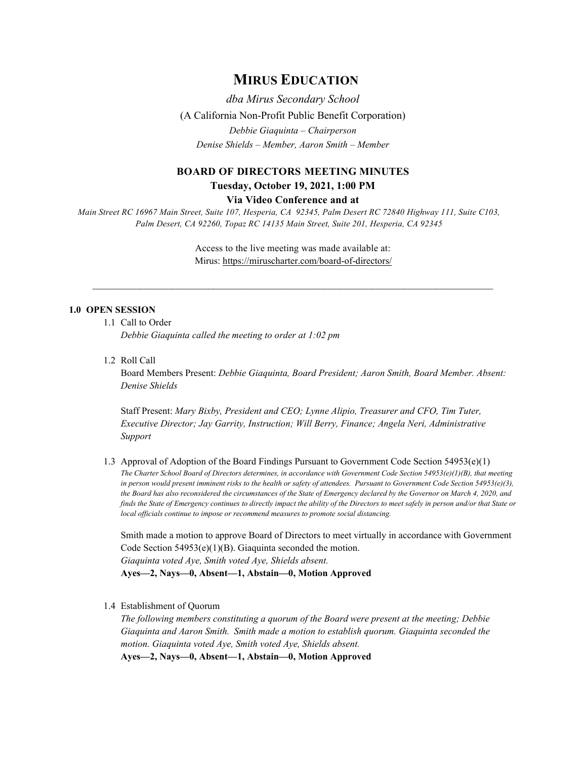# **MIRUS EDUCATION**

*dba Mirus Secondary School* (A California Non-Profit Public Benefit Corporation) *Debbie Giaquinta – Chairperson Denise Shields – Member, Aaron Smith – Member*

# **BOARD OF DIRECTORS MEETING MINUTES**

**Tuesday, October 19, 2021, 1:00 PM**

**Via Video Conference and at**

*Main Street RC 16967 Main Street, Suite 107, Hesperia, CA 92345, Palm Desert RC 72840 Highway 111, Suite C103, Palm Desert, CA 92260, Topaz RC 14135 Main Street, Suite 201, Hesperia, CA 92345*

> Access to the live meeting was made available at: Mirus:<https://miruscharter.com/board-of-directors/>

 $\mathcal{L}_\text{max}$  , and the contribution of the contribution of the contribution of the contribution of the contribution of the contribution of the contribution of the contribution of the contribution of the contribution of t

### **1.0 OPEN SESSION**

1.1 Call to Order

*Debbie Giaquinta called the meeting to order at 1:02 pm*

1.2 Roll Call

Board Members Present: *Debbie Giaquinta, Board President; Aaron Smith, Board Member. Absent: Denise Shields*

Staff Present: *Mary Bixby, President and CEO; Lynne Alipio, Treasurer and CFO, Tim Tuter, Executive Director; Jay Garrity, Instruction; Will Berry, Finance; Angela Neri, Administrative Support*

1.3 Approval of Adoption of the Board Findings Pursuant to Government Code Section 54953(e)(1) *The Charter School Board of Directors determines, in accordance with Government Code Section 54953(e)(1)(B), that meeting in person would present imminent risks to the health or safety of attendees. Pursuant to Government Code Section 54953(e)(3), the Board has also reconsidered the circumstances of the State of Emergency declared by the Governor on March 4, 2020, and finds the State of Emergency continues to directly impact the ability of the Directors to meet safely in person and/or that State or local officials continue to impose or recommend measures to promote social distancing.*

Smith made a motion to approve Board of Directors to meet virtually in accordance with Government Code Section 54953(e)(1)(B). Giaquinta seconded the motion. *Giaquinta voted Aye, Smith voted Aye, Shields absent.*

**Ayes—2, Nays—0, Absent—1, Abstain—0, Motion Approved**

1.4 Establishment of Quorum

*The following members constituting a quorum of the Board were present at the meeting; Debbie Giaquinta and Aaron Smith. Smith made a motion to establish quorum. Giaquinta seconded the motion. Giaquinta voted Aye, Smith voted Aye, Shields absent.* **Ayes—2, Nays—0, Absent—1, Abstain—0, Motion Approved**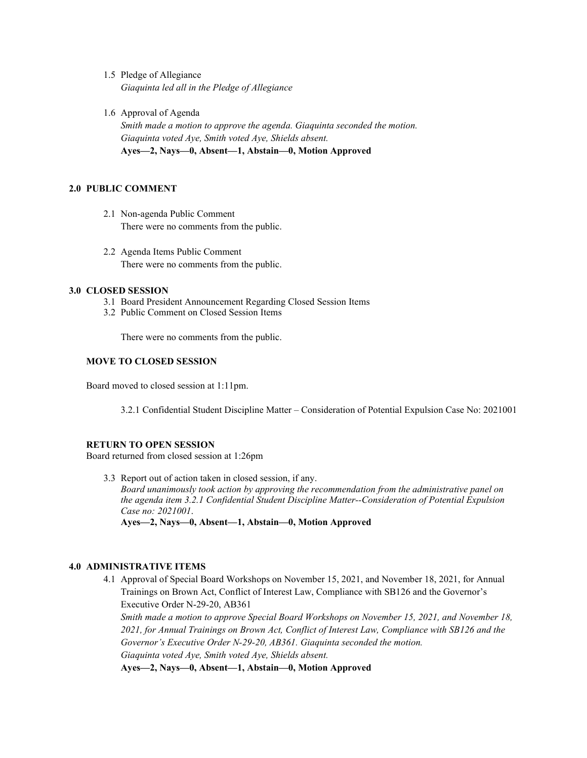- 1.5 Pledge of Allegiance *Giaquinta led all in the Pledge of Allegiance*
- 1.6 Approval of Agenda

*Smith made a motion to approve the agenda. Giaquinta seconded the motion. Giaquinta voted Aye, Smith voted Aye, Shields absent.* **Ayes—2, Nays—0, Absent—1, Abstain—0, Motion Approved**

# **2.0 PUBLIC COMMENT**

- 2.1 Non-agenda Public Comment There were no comments from the public.
- 2.2 Agenda Items Public Comment There were no comments from the public.

## **3.0 CLOSED SESSION**

- 3.1 Board President Announcement Regarding Closed Session Items
- 3.2 Public Comment on Closed Session Items

There were no comments from the public.

## **MOVE TO CLOSED SESSION**

Board moved to closed session at 1:11pm.

3.2.1 Confidential Student Discipline Matter – Consideration of Potential Expulsion Case No: 2021001

## **RETURN TO OPEN SESSION**

Board returned from closed session at 1:26pm

3.3 Report out of action taken in closed session, if any. *Board unanimously took action by approving the recommendation from the administrative panel on the agenda item 3.2.1 Confidential Student Discipline Matter--Consideration of Potential Expulsion Case no: 2021001*.

**Ayes—2, Nays—0, Absent—1, Abstain—0, Motion Approved**

# **4.0 ADMINISTRATIVE ITEMS**

4.1 Approval of Special Board Workshops on November 15, 2021, and November 18, 2021, for Annual Trainings on Brown Act, Conflict of Interest Law, Compliance with SB126 and the Governor's Executive Order N-29-20, AB361

*Smith made a motion to approve Special Board Workshops on November 15, 2021, and November 18, 2021, for Annual Trainings on Brown Act, Conflict of Interest Law, Compliance with SB126 and the Governor's Executive Order N-29-20, AB361. Giaquinta seconded the motion.*

*Giaquinta voted Aye, Smith voted Aye, Shields absent.*

**Ayes—2, Nays—0, Absent—1, Abstain—0, Motion Approved**